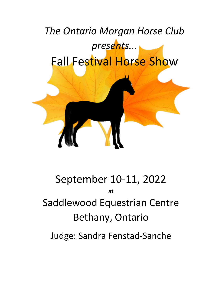

# September 10-11, 2022 **at** Saddlewood Equestrian Centre Bethany, Ontario

Judge: Sandra Fenstad-Sanche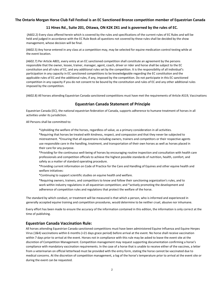## **The Ontario Morgan Horse Club Fall Festival is an EC Sanctioned Bronze competition member of Equestrian Canada**

# **11 Hines Rd., Suite 201, Ottawa, ON K2K 2X1 and is governed by the rules of EC.**

(A602.2) Every class offered herein which is covered by the rules and specifications of the current rules of EC Rules and will be held and judged in accordance with the EC Rule Book all questions not covered by these rules shall be decided by the show management, whose decision will be final.

(A602.5) Any horse entered in any class at a competition may, may be selected for equine medication control testing while at the event location.

(A602.7) Per Article A801, every entry at an EC sanctioned competition shall constitute an agreement by the persons responsible that the owner, lessee, trainer, manager, agent, coach, driver or rider and horse shall be subject to the EC constitution and all rules of EC, and any additional rules set by the competition. It is the responsibility of all individual's participation in any capacity in EC sanctioned competitions to be knowledgeable regarding the EC constitution and the applicable rules of EC and the additional rules, if any, imposed by the competition. Do not participate in this EC sanctioned competition in any capacity if you do not consent to be bound by the constitution and rules of EC and any other additional rules imposed by the competition.

(A602.8) All horses attending Equestrian Canada sanctioned competitions must have met the requirements of Article A519, Vaccinations

# **Equestrian Canada Statement of Principle**

Equestrian Canada (EC), the national equestrian federation of Canada, supports adherence to humane treatment of horses in all activities under its jurisdiction.

All Persons shall be committed to:

\*Upholding the welfare of the horses, regardless of value, as a primary consideration in all activities. \*Requiring that horses be treated with kindness, respect, and compassion and that they never be subjected to mistreatment. \*Ensuring that all equestrians including owners, trainers and competitors or their respective agents use responsible care in the handling, treatment, and transportation of their own horses as well as horses placed in their care for any purpose.

\*Providing for the continuous well-being of horses by encouraging routine inspection and consultation with health care professionals and competition officials to achieve the highest possible standards of nutrition, health, comfort, and safety as a matter of standard operating procedure.

\*Providing current information on Code of Practice for the Care and Handling of Equines and other equine health and welfare initiatives:

\*Continuing to support scientific studies on equine health and welfare.

\*Requiring owners, trainers, and competitors to know and follow their sanctioning organization's rules, and to work within industry regulations in all equestrian competition; and \*actively promoting the development and adherence of competition rules and regulations that protect the welfare of the horse.

The standard by which conduct, or treatment will be measured is that which a person, who is informed and experienced in generally accepted equine training and competition procedures, would determine to be neither cruel, abusive nor inhumane.

Every effort has been made to ensure the accuracy of the information contained in this edition, the information is only correct at the time of publishing.

#### **Equestrian Canada Vaccination Rule:**

All horses attending Equestrian Canada sanctioned competitions must have been administered Equine Influenza and Equine Herpes Virus (1&4) vaccinations within 6 months (+21 days grace period) before arrival at the event. No horse shall receive vaccination within 7 days prior to arrival at the event. Horses not in compliance with this rule may be asked to leave the event site at the discretion of Competition Management. Competition management may request supporting documentation confirming a horse's compliance with mandatory vaccination requirements. In the case of a horse that is unable to receive either of the vaccines, a letter from a veterinarian on official letterhead must be provided with the entry form, stating the horse cannot be vaccinated due to medical concerns. At the discretion of competition management, a log of the horse's temperature prior to arrival at the event site or during the event can be requested.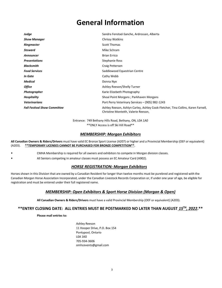# **General Information**

| Judge                               | Sandra Fenstad-Sanche, Ardrossan, Alberta                                                                               |
|-------------------------------------|-------------------------------------------------------------------------------------------------------------------------|
| <b>Show Manager</b>                 | Chrissy Watkins                                                                                                         |
| Ringmaster                          | <b>Scott Thomas</b>                                                                                                     |
| <b>Steward</b>                      | Mike Schram                                                                                                             |
| <b>Announcer</b>                    | <b>Brian Errico</b>                                                                                                     |
| <b>Presentations</b>                | Stephanie Ross                                                                                                          |
| <b>Blacksmith</b>                   | Craig Pettersen                                                                                                         |
| <b>Food Services</b>                | Saddlewood Equestrian Centre                                                                                            |
| In Gate                             | Cathy Webb                                                                                                              |
| <b>Medical</b>                      | Donna Nye                                                                                                               |
| <b>Office</b>                       | Ashley Reeson/Shelly Turner                                                                                             |
| Photographer                        | Karie Elizebeth Photography                                                                                             |
| <b>Hospitality</b>                  | Shoal Point Morgans; Parkhaven Morgans                                                                                  |
| <b>Veterinarians</b>                | Port Perry Veterinary Services - (905) 982-1243                                                                         |
| <b>Fall Festival Show Committee</b> | Ashley Reeson, Ashlyn Carley, Ashley Cook-Fletcher, Tina Collins, Karen Farnell,<br>Christine Monteith, Valerie Reeson, |

Entrance: 749 Bethany Hills Road, Bethany, ON, L0A 1A0 \*\*ONLY Access is off Ski Hill Road\*\*

# *MEMBERSHIP: Morgan Exhibitors*

**All Canadian Owners & Riders/Drivers** must have valid EC Bronze Sport License (A207) or higher and a Provincial Membership (OEF or equivalent) (A203). **\*\*TEMPORARY LICENSES CANNOT BE PURCHASED FOR BRONZE COMPETITION\*\***.

- CMHA Membership is required for all owners and exhibitors to compete in Morgan division classes.
- All Seniors competing in amateur classes must possess an EC Amateur Card (A902).

# *HORSE REGISTRATION: Morgan Exhibitors*

Horses shown in this Division that are owned by a Canadian Resident for longer than twelve months must be purebred and registered with the Canadian Morgan Horse Association Incorporated, under the Canadian Livestock Records Corporation or, if under one year of age, be eligible for registration and must be entered under their full registered name.

# *MEMBERSHIP: Open Exhibitors & Sport Horse Division (Morgan & Open)*

**All Canadian Owners & Riders/Drivers** must have a valid Provincial Membership (OEF or equivalent) (A203).

# **\*\*ENTRY CLOSING DATE: ALL ENTRIES MUST BE POSTMARKED NO LATER THAN AUGUST** *15***TH***, 2022***.\*\***

**Please mail entries to:**

Ashley Reeson 11 Hooper Drive, P.O. Box 154 Pontypool, Ontario L0A 1K0 705-934-3606 omhcevents@gmail.com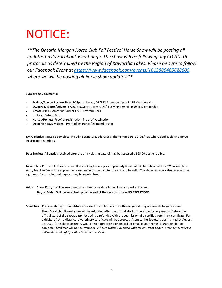# NOTICE:

*\*\*The Ontario Morgan Horse Club Fall Festival Horse Show will be posting all updates on its Facebook Event page. The show will be following any COVID-19 protocols as determined by the Region of Kawartha Lakes. Please be sure to follow our Facebook Event at [https://www.facebook.com/events/1613886485628805,](https://www.facebook.com/events/1613886485628805) where we will be posting all horse show updates.\*\**

#### **Supporting Documents:**

- **Trainer/Person Responsible:** EC Sport License, OE/FEQ Membership or USEF Membership
- **Owners & Riders/Drivers:** ( A207) EC Sport License, OE/FEQ Membership or USEF Membership
- **Amateurs:** EC Amateur Card or USEF Amateur Card
- **Juniors:** Date of Birth
- **Horses/Ponies:** Proof of registration, Proof of vaccination
- **Open Non-EC Divisions:** Proof of insurance/OE membership

**Entry Blanks:** Must be complete, including signature, addresses, phone numbers, EC, OE/FEQ where applicable and Horse Registration numbers.

**Post Entries:** All entries received after the entry closing date of may be assessed a \$25.00 post entry fee.

**Incomplete Entries:** Entries received that are illegible and/or not properly filled out will be subjected to a \$25 incomplete entry fee. The fee will be applied per entry and must be paid for the entry to be valid. The show secretary also reserves the right to refuse entries and request they be resubmitted.

- **Adds: Show Entry**: Will be welcomed after the closing date but will incur a post entry fee. **Day of Adds: Will be accepted up to the end of the session prior – NO EXCEPTIONS**
- **Scratches: Class Scratches**: Competitors are asked to notify the show office/ingate if they are unable to go in a class.

 **Show Scratch: No entry fee will be refunded after the official start of the show for any reason.** Before the official start of the show, entry fees will be refunded with the submission of a certified veterinary certificate. For exhibitors from a distance, a veterinary certificate will be accepted if sent to the Secretary postmarked by August 15, 2022. (The Show Secretary would also appreciate a phone call or email if your horse(s) is/are unable to compete). Stall fees will not be refunded. *A horse which is deemed unfit for any class as per veterinary certificate will be deemed unfit for ALL classes in the show.*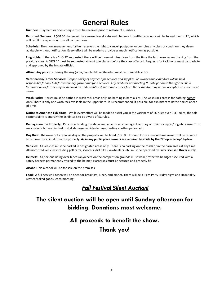# **General Rules**

**Numbers:** Payment or open cheque must be received prior to release of numbers.

**Returned Cheques:** A **\$50.00** charge will be assessed on all returned cheques. Unsettled accounts will be turned over to EC, which will result in suspension from all competitions.

**Schedule:** The show management further reserves the right to cancel, postpone, or combine any class or condition they deem advisable without notification. Every effort will be made to provide as much notification as possible.

**Ring Holds:** If there is a "HOLD" requested, there will be three minutes given from the time the last horse leaves the ring from the previous class. A "HOLD" must be requested at least two classes before the class affected. Requests for tack holds must be made to and approved by the In-gate official.

**Attire:** Any person entering the ring (rider/handler/driver/header) must be in suitable attire.

**Veterinarian/Farrier Services:** *Responsibility of payment for services and supplies: All owners and exhibitors will be held responsible for any bills for veterinary, farrier and food services. Any exhibitor not meeting this obligation to the official Show Veterinarian or farrier may be deemed an undesirable exhibitor and entries from that exhibitor may not be accepted at subsequent shows.* 

Wash Racks: Horses must be bathed in wash rack areas only, no bathing in barn aisles. The wash rack area is for bathing horses only. There is only one wash rack available in the upper barn. It is recommended, if possible, for exhibitors to bathe horses ahead of time.

**Notice to American Exhibitors:** While every effort will be made to assist you in the variances of EC rules over USEF rules, the sole responsibility is entirely the Exhibitor's to be aware of EC rules.

**Damages on the Property:** Persons attending the show are liable for any damages that they or their horse/car/dog etc. cause. This may include but not limited to stall damage, vehicle damage, hurting another person etc.

**Dog Rule:** The owner of any loose dog on the property will be fined \$100.00. If found loose a second time owner will be required to remove the animal from the property. **As in any public place owners are required to abide by the "Poop & Scoop" by-law.** 

**Vehicles:** All vehicles must be parked in designated areas only. There is no parking on the roads or in the barn areas at any time. All motorized vehicles including golf carts, scooters, dirt bikes, 4-wheelers, etc. must be operated by **Fully Licensed Drivers Only**.

**Helmets:** All persons riding over fences anywhere on the competition grounds must wear protective headgear secured with a safety harness permanently affixed to the helmet. Harnesses must be secured and properly fit.

**Alcohol:** No alcohol will be for sale on the premises.

**Food**: A full-service kitchen will be open for breakfast, lunch, and dinner. There will be a Pizza Party Friday night and Hospitality (coffee/baked goods) each morning.

# *Fall Festival Silent Auction!*

# **The silent auction will be open until Sunday afternoon for bidding. Donations most welcome.**

# **All proceeds to benefit the show.**

# **Thank you!**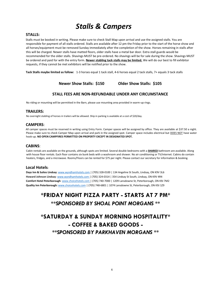# *Stalls & Campers*

### **STALLS:**

Stalls must be booked in writing. Please make sure to check Stall Map upon arrival and use the assigned stalls. You are responsible for payment of all stalls ordered. Stalls are available after 12 pm the Friday prior to the start of the horse show and all horses/equipment must be removed Sunday immediately after the completion of the show. Horses remaining in stalls after this will be charged. Newer stalls have matted floors, older stalls have a metal bar door. Extra stall guards would be recommended for the older stalls. Shavings MUST be pre-ordered. No shavings will be for sale during the show. Shavings MUST be ordered and paid for with the entry form. **Newer stabling tack stalls may be limited.** We will do our best to fill exhibitor requests, if they cannot be met exhibitors will be notified prior to the show.

**Tack Stalls maybe limited as follow:** 1-3 horses equal 1 tack stall, 4-6 horses equal 2 tack stalls, 7+ equals 3 tack stalls

**Newer Show Stalls: \$150 Older Show Stalls: \$105**

# **STALL FEES ARE NON-REFUNDABLE UNDER ANY CIRCUMSTANCE**

No riding or mounting will be permitted in the Barn, please use mounting area provided in warm-up rings.

# **TRAILERS:**

No overnight stabling of horses in trailers will be allowed. Ship in parking is available at a cost of \$20/day.

# **CAMPERS**:

All camper spaces must be reserved in writing using Entry Form. Camper spaces will be assigned by office. They are available at \$37.50 a night. Please make sure to check Camper Map upon arrival and park in the assigned spot. Camper space includes electrical but DOES NOT have water hook-up. **NO OPEN CAMPFIRES PERMITTED ON PROPERTY EXCEPT IN DESIGNATED SPOT.** 

# **CABINS**:

Cabin rentals are available on the grounds, although spots are limited. Several double bedrooms with a **SHARED** bathroom are available. Along with house floor rentals. Each floor contains six bunk beds with a washroom and shower. No air conditioning or TV/internet. Cabins do contain heaters, fridges, and a microwave. Rooms/Floors can be rented for \$75 per night. Please contact our secretary for information & booking.

# **Local Hotels:**

**Days Inn & Suites Lindsay**[: www.wyndhamhotels.com |](http://www.wyndhamhotels.com/) (705) 328-0100 | 134 Angeline St South, Lindsay, ON K9V 3L6 **Howard Johnson Lindsay**[: www.wyndhamhotels.com |](http://www.wyndhamhotels.com/) (705) 324-0314 | 354 Lindsay St South, Lindsay, ON K9V 4R4 **Comfort Hotel Peterborough**[: www.choicehotels.com |](http://www.choicehotels.com/) (705) 740-7000 | 1209 Lansdowne St, Peterborough, ON K9J 7M2 **Quality Inn Peterboroug[h:](http://www.choicehotels.com/)** [www.choicehotels.com](http://www.choicehotels.com/) [|](http://www.choicehotels.com/) (705) 748-6801 | 1074 Lansdowne St, Peterborough, ON K9J 1Z9

# **\*FRIDAY NIGHT PIZZA PARTY - STARTS AT 7 PM\*** *\*\*SPONSORED BY SHOAL POINT MORGANS \*\**

# **\*SATURDAY & SUNDAY MORNING HOSPITALITY\* - COFFEE & BAKED GOODS -** *\*\*SPONSORED BY PARKHAVEN MORGANS \*\**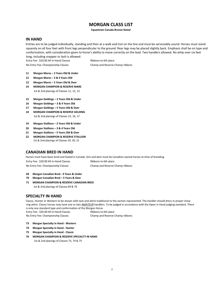# **MORGAN CLASS LIST**

#### **Equestrian Canada Bronze Rated**

### **IN HAND**

Entries are to be judged individually, standing and then at a walk and trot on the line and must be serviceably sound. Horses must stand squarely on all four feet with front legs perpendicular to the ground. Rear legs may be placed slightly back. Emphasis shall be on type and conformation, with consideration given to horse's ability to move correctly on the lead. Two handlers allowed. No whip over six feet

long, including snapper or lash is allowed.

Entry Fee: \$20.00 All In-Hand Classes Ribbons to 6th place

No Entry Fee: Championship Classes Champ and Reserve Champ ribbons

- **11 Morgan Mares – 2 Years Old & Under**
- **12 Morgan Mares – 3 & 4 Years Old**
- **13 Morgan Mares – 5 Years Old & Over**
- **14 MORGAN CHAMPION & RESERVE MARE**  1st & 2nd placings of Classes 11, 12, 13
- **15 Morgan Geldings – 2 Years Old & Under**
- **16 Morgan Geldings – 3 & 4 Years Old**
- **17 Morgan Geldings – 5 Years Old & Over**
- **18 MORGAN CHAMPION & RESERVE GELDING** 1st & 2nd placings of Classes 15, 16, 17
- **19 Morgan Stallions – 2 Years Old & Under**
- **20 Morgan Stallions – 3 & 4 Years Old**
- **21 Morgan Stallions – 5 Years Old & Over**
- **22 MORGAN CHAMPION & RESERVE STALLION** 1st & 2nd placings of Classes 19, 20, 21

# **CANADIAN BRED IN HAND**

Horses must have been bred and foaled in Canada. Sire and dam must be Canadian owned horses at time of breeding.

| Entry Fee: \$20.00 All In-Hand Classes | Ribbons to 6th place            |
|----------------------------------------|---------------------------------|
| No Entry Fee: Championship Classes     | Champ and Reserve Champ ribbons |

No Entry Fee: Championship Classes Champ and Reserve Champ ribbons

- **69 Morgan Canadian Bred - 4 Years & Under**
- **70 Morgan Canadian Bred – 5 Years & Over**
- **71 MORGAN CHAMPION & RESERVE CANADIAN BRED**  1st & 2nd placings of Classes 69 & 70

# **SPECIALTY IN HAND**

Classic, Hunter or Western to be shown with tack and attire traditional to the section represented. The handler should dress in proper show ring attire. Classic horses may have one or two *AMATEUR* handlers. To be judged in accordance with the Open in Hand judging standard. There is only one standard type and conformation of the Morgan Horse.

Entry Fee: \$20.00 All In-Hand Classes Ribbons to 6th place

- **73 Morgan Specialty in Hand - Western**
- **74 Morgan Specialty in Hand - Hunter**
- **75 Morgan Specialty in Hand - Classic**
- **76 MORGAN CHAMPION & RESERVE SPECIALTY IN HAND** 1st & 2nd placings of Classes 73, 74 & 75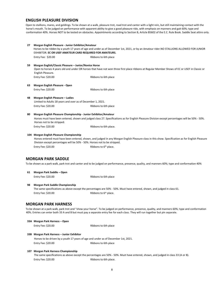# **ENGLISH PLEASURE DIVISION**

Open to stallions, mares, and geldings. To be shown at a walk, pleasure trot, road trot and canter with a light rein, but still maintaining contact with the horse's mouth. To be judged on performance with apparent ability to give a good pleasure ride, with emphasis on manners and gait 60%; type and conformation 40%. Horses NOT to be tested on obstacles. Appointments according to Section B, Article B5602 of the E.C. Rule Book. Saddle Seat attire only.

| 27 | Morgan English Pleasure - Junior Exhibitor/Amateur                                                                    | Horses to be ridden by a youth 17 years of age and under as of December 1st, 2021, or by an Amateur rider.NO STALLIONS ALLOWED FOR JUNIOR                                                                                                                                                |
|----|-----------------------------------------------------------------------------------------------------------------------|------------------------------------------------------------------------------------------------------------------------------------------------------------------------------------------------------------------------------------------------------------------------------------------|
|    | EXHIBITOR. EC OR USEF AMATEUR CARD REQUIRED FOR AMATEURS.                                                             |                                                                                                                                                                                                                                                                                          |
|    | Entry Fee: \$20.00                                                                                                    | Ribbons to 6th place                                                                                                                                                                                                                                                                     |
| 59 | Morgan English/Classic Pleasure - Junior/Novice Horse<br>English Pleasure.                                            | Open to horses 4 years old and under OR horses that have not won three first place ribbons at Regular Member Shows of EC or USEF in Classic or                                                                                                                                           |
|    | Entry Fee: \$20.00                                                                                                    | Ribbons to 6th place                                                                                                                                                                                                                                                                     |
| 63 | Morgan English Pleasure - Open                                                                                        |                                                                                                                                                                                                                                                                                          |
|    | Entry Fee: \$20.00                                                                                                    | Ribbons to 6th place                                                                                                                                                                                                                                                                     |
| 48 | Morgan English Pleasure - Ladies<br>Limited to Adults 18 years and over as of December 1, 2021.                       |                                                                                                                                                                                                                                                                                          |
|    | Entry Fee: \$20.00                                                                                                    | Ribbons to 6th place                                                                                                                                                                                                                                                                     |
| 80 | Morgan English Pleasure Championship - Junior Exhibitor/Amateur                                                       |                                                                                                                                                                                                                                                                                          |
|    | Horses not to be stripped.                                                                                            | Horses must have been entered, shown and judged class 27. Specifications as for English Pleasure Division except percentages will be 50% - 50%.                                                                                                                                          |
|    | Entry Fee: \$20.00                                                                                                    | Ribbons to 6th place.                                                                                                                                                                                                                                                                    |
|    | 104 Morgan English Pleasure Championship<br>Division except percentages will be 50% - 50%. Horses not to be stripped. | Horses entered must have been entered, shown, and judged in any Morgan English Pleasure class in this show. Specification as for English Pleasure                                                                                                                                        |
|    | Entry Fee: \$20.00                                                                                                    | Ribbons to 6 <sup>th</sup> place.                                                                                                                                                                                                                                                        |
|    | MORGAN PARK SADDLE                                                                                                    | To be shown as a park walk, park trot and canter and to be judged on performance, presence, quality, and manners 60%; type and conformation 40%                                                                                                                                          |
| 61 | Morgan Park Saddle - Open                                                                                             |                                                                                                                                                                                                                                                                                          |
|    | Entry Fee: \$20.00                                                                                                    | Ribbons to 6th place                                                                                                                                                                                                                                                                     |
| 98 | Morgan Park Saddle Championship<br>Entry Fee: \$20.00                                                                 | The same specifications as above except the percentages are 50% - 50%. Must have entered, shown, and judged in class 61.<br>Ribbons to 6 <sup>th</sup> place.                                                                                                                            |
|    | <b>MORGAN PARK HARNESS</b>                                                                                            |                                                                                                                                                                                                                                                                                          |
|    |                                                                                                                       | To be shown at a park walk, park trot and "show your horse". To be judged on performance, presence, quality, and manners 60%; type and conformation<br>40%. Entries can enter both 33 A and B but must pay a separate entry fee for each class. They will run together but pin separate. |
|    | 33A Morgan Park Harness - Open<br>Entry Fee: \$20.00                                                                  | Ribbons to 6th place                                                                                                                                                                                                                                                                     |
|    | 33B Morgan Park Harness - Junior Exhibitor                                                                            |                                                                                                                                                                                                                                                                                          |
|    | Horses to be driven by a youth 17 years of age and under as of December 1st, 2021.                                    |                                                                                                                                                                                                                                                                                          |
|    | Entry Fee: \$20.00                                                                                                    | Ribbons to 6th place                                                                                                                                                                                                                                                                     |
|    | 107 Morgan Park Harness Championship<br>Entry Fee: \$20.00                                                            | The same specifications as above except the percentages are 50% - 50%. Must have entered, shown, and judged in class 33 (A or B).<br>Ribbons to 6th place.                                                                                                                               |
|    |                                                                                                                       |                                                                                                                                                                                                                                                                                          |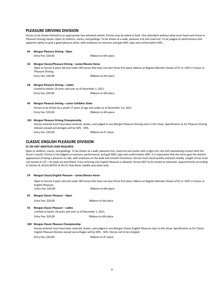### **PLEASURE DRIVING DIVISION**

Horses to be shown hitched to an appropriate two wheeled vehicle. Entries may be asked to back. One attendant without whip must head each horse in Pleasure Driving classes. Open to stallions, mares, and geldings. To be shown at a walk, pleasure trot and road trot. To be judged on performance and apparent ability to give a good pleasure drive, with emphasis on manners and gait 60%; type and conformation 40%.

| 44 | <b>Morgan Pleasure Driving - Open</b>                       |                                                                                                                                                |  |  |  |
|----|-------------------------------------------------------------|------------------------------------------------------------------------------------------------------------------------------------------------|--|--|--|
|    | Entry Fee: \$20.00                                          | Ribbons to 6th place                                                                                                                           |  |  |  |
| 34 | Morgan Classic/Pleasure Driving - Junior/Novice Horse       |                                                                                                                                                |  |  |  |
|    | Pleasure Driving.                                           | Open to horses 4 years old and under OR horses that have not won three first place ribbons at Regular Member Shows of EC or USEF in Classic or |  |  |  |
|    | Entry Fee: \$20.00                                          | Ribbons to 6th place                                                                                                                           |  |  |  |
| 28 | <b>Morgan Pleasure Driving - Ladies</b>                     |                                                                                                                                                |  |  |  |
|    | Limited to Adults 18 years and over as of December 1, 2021. |                                                                                                                                                |  |  |  |
|    | Entry Fee: \$20.00                                          | Ribbons to 6th place                                                                                                                           |  |  |  |
| 49 | Morgan Pleasure Driving – Junior Exhibitor Stake            |                                                                                                                                                |  |  |  |

Horses to be driven by a youth 17 years of age and under as of December 1st, 2021. Entry Fee: \$20.00 Ribbons to 6th place

#### **101 Morgan Pleasure Driving Championship**

Horses entered must have been entered, shown, and judged in any Morgan Pleasure Driving class in this show. Specification as for Pleasure Driving Division except percentages will be 50% - 50%.

Entry Fee: \$20.00

Ribbons to 6<sup>th</sup> place.

# **CLASSIC ENGLISH PLEASURE DIVISION**

#### **EC OR USEF AMATEUR CARD REQUIRED**

Open to stallions, mares, and geldings. To be shown at a walk, pleasure trot, road trot and canter with a light rein, but still maintaining contact with the horse's mouth. Entries to be judged on manners, performance, and gait 60%; type and conformation 40%. It is imperative that the horse give the distinct appearance of being a pleasure to ride, with emphasis on the walk and smooth transitions. Horses must stand quietly and back readily. Length of toe must not exceed 4-1/2", rim pads are permitted. Cross entering into English Pleasure is allowed. Horses NOT to be tested on obstacles. Appointments according to Section B, Article B5702 of the EC Rule Book. Saddle seat attire only

#### **59 Morgan Classic/English Pleasure – Junior/Novice Horse**

Open to horses 4 years old and under OR horses that have not won three first place ribbons at Regular Member Shows of EC or USEF in Classic or English Pleasure.

Entry Fee: \$20.00 Ribbons to 6th place

**65 Morgan Classic Pleasure – Open** 

Entry Fee: \$20.00 Ribbons to 6th place

#### **43 Morgan Classic Pleasure – Ladies**

Limited to Adults 18 years and over as of December 1, 2021.

Entry Fee: \$20.00 Ribbons to 6th place

#### **100 Morgan Classic Pleasure Championship**

Horses entered must have been entered, shown, and judged in any Morgan Classic English Pleasure class in this show. Specification as for Classic English Pleasure Division except percentages will be 50% - 50%. Horses not to be stripped.

Entry Fee: \$20.00. Ribbons to 6<sup>th</sup> place.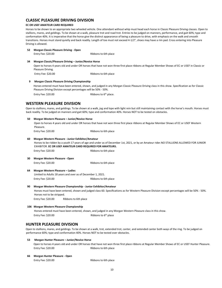# **CLASSIC PLEASURE DRIVING DIVISION**

#### **EC OR USEF AMATEUR CARD REQUIRED**

Horses to be shown to an appropriate two wheeled vehicle. One attendant without whip must head each horse in Classic Pleasure Driving classes. Open to stallions, mares, and geldings. To be shown at a walk, pleasure trot and road trot. Entries to be judged on manners, performance, and gait 60%; type and conformation 40%. It is imperative that the horse give the distinct appearance of being a pleasure to drive, with emphasis on the walk and smooth transitions. Horses must stand quietly and back readily. Length of toe must not exceed 4-1/2", shoes may have a rim pad. Cross entering into Pleasure Driving is allowed.

#### **52 Morgan Classic Pleasure Driving - Open**

Entry Fee: \$20.00 Ribbons to 6th place

#### **34 Morgan Classic/Pleasure Driving – Junior/Novice Horse**

Open to horses 4 years old and under OR horses that have not won three first place ribbons at Regular Member Shows of EC or USEF in Classic or Pleasure Driving.

Entry Fee: \$20.00 Ribbons to 6th place

#### **9 Morgan Classic Pleasure Driving Championship**

Horses entered must have been entered, shown, and judged in any Morgan Classic Pleasure Driving class in this show. Specification as for Classic Pleasure Driving Division except percentages will be 50% - 50%.

Entry Fee: \$20.00

Ribbons to 6<sup>th</sup> place.

# **WESTERN PLEASURE DIVISION**

Open to stallions, mares, and geldings. To be shown at a walk, jog and lope with light rein but still maintaining contact with the horse's mouth. Horses must back readily. To be judged on manners and gait 60%; type and conformation 40%. Horses NOT to be tested on obstacles.

#### **50 Morgan Western Pleasure – Junior/Novice Horse**

Open to horses 4 years old and under OR horses that have not won three first place ribbons at Regular Member Shows of EC or USEF Western Pleasure.

Entry Fee: \$20.00 Ribbons to 6th place

#### **60 Morgan Western Pleasure - Junior Exhibitor/Amateur**

Horses to be ridden by a youth 17 years of age and under as of December 1st, 2021, or by an Amateur rider.NO STALLIONS ALLOWED FOR JUNIOR EXHIBITOR. **EC OR USEF AMATEUR CARD REQUIRED FOR AMATEURS.**

Entry Fee: \$20.00 Ribbons to 6th place

**30 Morgan Western Pleasure - Open**  Entry Fee: \$20.00 Ribbons to 6th place

#### **64 Morgan Western Pleasure – Ladies**  Limited to Adults 18 years and over as of December 1, 2021. Entry Fee: \$20.00 Ribbons to 6th place

#### **90 Morgan Western Pleasure Championship - Junior Exhibitor/Amateur**

Horses must have been entered, shown and judged class 60. Specifications as for Western Pleasure Division except percentages will be 50% - 50%. Horses not to be stripped.

Entry Fee: \$20.00 Ribbons to 6th place

### **106 Morgan Western Pleasure Championship**

Horses entered must have been entered, shown, and judged in any Morgan Western Pleasure class in this show. Entry Fee: \$20.00 Ribbons to 6<sup>th</sup> place

# **HUNTER PLEASURE DIVISION**

Open to stallions, mares, and geldings. To be shown at a walk, trot, extended trot, canter, and extended canter both ways of the ring. To be judged on performance 60%; type and conformation 40%. Horses NOT to be tested over obstacles.

#### **53 Morgan Hunter Pleasure – Junior/Novice Horse**

Open to horses 4 years old and under OR horses that have not won three first place ribbons at Regular Member Shows of EC or USEF Hunter Pleasure. Entry Fee: \$20.00 Ribbons to 6th place

#### **66 Morgan Hunter Pleasure - Open**

Entry Fee: \$20.00 Ribbons to 6th place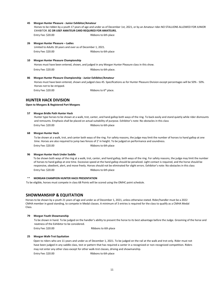#### **45 Morgan Hunter Pleasure - Junior Exhibitor/Amateur**

Horses to be ridden by a youth 17 years of age and under as of December 1st, 2021, or by an Amateur rider.NO STALLIONS ALLOWED FOR JUNIOR EXHIBITOR. **EC OR USEF AMATEUR CARD REQUIRED FOR AMATEURS.** Entry Fee: \$20.00 Ribbons to 6th place

#### **26 Morgan Hunter Pleasure – Ladies**  Limited to Adults 18 years and over as of December 1, 2021.

Entry Fee: \$20.00 Ribbons to 6th place

#### **10 Morgan Hunter Pleasure Championship**

Horses must have been entered, shown, and judged in any Morgan Hunter Pleasure class in this show.

Entry Fee: \$20.00 Ribbons to 6th place.

#### **86 Morgan Hunter Pleasure Championship - Junior Exhibitor/Amateur**

Horses must have been entered, shown and judged class 45. Specifications as for Hunter Pleasure Division except percentages will be 50% - 50%. Horses not to be stripped.

Entry Fee: \$20.00

Ribbons to 6<sup>th</sup> place.

# **HUNTER HACK DIVISION**

#### **Open to Morgans & Registered Part Morgans**

#### **57 Morgan Bridle Path Hunter Hack**

Hunter type horses to be shown at a walk, trot, canter, and hand gallop both ways of the ring. To back easily and stand quietly while rider dismounts and remounts. Emphasis shall be placed on actual suitability of purpose. Exhibitor's note: No obstacles in this class Entry Fee: \$20.00 Ribbons to 6th place

**68 Morgan Hunter Hack** 

To be shown at a walk, trot, and canter both ways of the ring. For safety reasons, the judge may limit the number of horses to hand gallop at one time. Horses are also required to jump two fences of 2' in height. To be judged on performance and soundness. Entry Fee: \$20.00 Ribbons to 6th place

#### **96 Morgan Hunter Hack Under Saddle**

To be shown both ways of the ring at a walk, trot, canter, and hand gallop, both ways of the ring. For safety reasons, the judge may limit the number of horses to hand gallop at one time. Excessive speed at the hand gallop should be penalized. Light contact is required, and the horse should be responsive, obedient, alert, and move freely. Horses should not be eliminated for slight errors. Exhibitor's note: No obstacles in this class Entry Fee: \$20.00 Ribbons to 6th place

#### \*\* **MORGAN CHAMPION HUNTER HACK PRESENTATION**

To be eligible, horses must compete in class 68 Points will be scored using the OMHC point schedule.

# **SHOWMANSHIP & EQUITATION**

Horses to be shown by a youth 21 years of age and under as of December 1, 2021, unless otherwise stated. Rider/handler must be a 2022 CMHA member in good standing, to compete in Medal classes. A minimum of 3 entries is required for the class to qualify as a CMHA Medal Class.

#### **79 Morgan Youth Showmanship**

To be shown in hand. To be judged on the handler's ability to present the horse to its best advantage before the Judge. Grooming of the horse and neatness of the Exhibitor to be considered.

Entry Fee: \$20.00 Ribbons to 6th place

#### **25 Morgan Walk-Trot Equitation**

Open to riders who are 11 years and under as of December 1, 2021. To be judged on the rail at the walk and trot only. Rider must not have been judged in any saddle class, test or pattern that has required a canter in a recognized or non-recognized competition. Riders may not enter any other class except for other walk-trot classes, driving and showmanship. Entry Fee: \$20.00 Ribbons to 6th place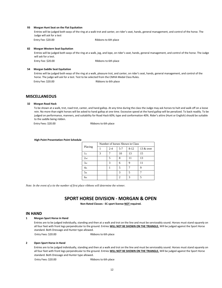#### **93 Morgan Hunt Seat on the Flat Equitation**

Entries will be judged both ways of the ring at a walk trot and canter, on rider's seat, hands, general management, and control of the horse. The Judge will ask for a test

Entry Fee: \$20.00 Ribbons to 6th place

#### **82 Morgan Western Seat Equitation**

Entries will be judged both ways of the ring at a walk, jog, and lope, on rider's seat, hands, general management, and control of the horse. The Judge will ask for a test. Entry Fee: \$20.00 Ribbons to 6th place

#### **54 Morgan Saddle Seat Equitation**

Entries will be judged both ways of the ring at a walk, pleasure trot, and canter, on rider's seat, hands, general management, and control of the horse. The judge will ask for a test. Test to be selected from the CMHA Medal Class Rules. Entry Fee: \$20.00 Ribbons to 6th place

#### **MISCELLANEOUS**

#### **32 Morgan Road Hack**

To be shown at a walk, trot, road trot, canter, and hand gallop. At any time during the class the Judge may ask horses to halt and walk off on a loose rein. No more than eight horses will be asked to hand gallop at one time. Excessive speed at the hand gallop will be penalized. To back readily. To be judged on performance, manners, and suitability for Road Hack 60%; type and conformation 40%. Rider's attire (Hunt or English) should be suitable to the saddle being ridden.

Entry Fees: \$20.00 Ribbons to 6th place

#### **High Point Presentation Point Schedule**

|                 | Number of horses Shown in Class |         |         |          |           |  |  |
|-----------------|---------------------------------|---------|---------|----------|-----------|--|--|
| Placing         |                                 | $2 - 4$ | $5 - 7$ | $8 - 12$ | 13 & over |  |  |
| 1 <sub>st</sub> | 3                               |         | 10      | 13       | 15        |  |  |
| 2 <sub>nd</sub> |                                 | 5       | 8       |          | 13        |  |  |
| 3rd             |                                 | 3       | 6       | Q        |           |  |  |
| 4 <sub>th</sub> |                                 |         | 5       |          | q         |  |  |
| 5 <sub>th</sub> |                                 |         | 3       | 5        |           |  |  |
| 6 <sub>th</sub> |                                 |         |         |          |           |  |  |

*Note: In the event of a tie the number of first place ribbons will determine the winner.* 

# **SPORT HORSE DIVISION - MORGAN & OPEN**

**Non-Rated Classes - EC sport license NOT required.** 

#### **IN HAND**

#### **1 Morgan Sport Horse in Hand**

Entries are to be judged individually, standing and then at a walk and trot on the line and must be serviceably sound. Horses must stand squarely on all four feet with front legs perpendicular to the ground. Entries **WILL NOT BE SHOWN ON THE TRIANGLE.** Will be judged against the Sport Horse standard. Both Dressage and Hunter type allowed.

Entry Fees: \$20.00 Ribbons to 6th place

#### **2 Open Sport Horse in Hand**

Entries are to be judged individually, standing and then at a walk and trot on the line and must be serviceably sound. Horses must stand squarely on all four feet with front legs perpendicular to the ground. Entries **WILL NOT BE SHOWN ON THE TRIANGLE.** Will be judged against the Sport Horse standard. Both Dressage and Hunter type allowed.

Entry Fees: \$20.00 Ribbons to 6th place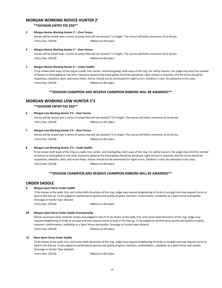# **MORGAN WORKING NOVICE HUNTER 2'**

#### **\*\*DIVISION ENTRY FEE \$50\*\***

#### **3 Morgan Novice Working Hunter 2' – Over Fences**

Horses will be tested over a series of jumps that will not exceed 2' in height. The course will hold a minimum of six fences. Entry Fees: \$20.00 Ribbons to 6th place

#### **4 Morgan Novice Working Hunter 2' – Over Fences**

Horses will be tested over a series of jumps that will not exceed 2' in height. The course will hold a minimum of six fences. Entry Fees: \$20.00 Ribbons to 6th place

#### **5 Morgan Novice Working Hunter 2' – Under Saddle**

To be shown both ways of the ring at a walk, trot, canter, and hand gallop, both ways of the ring. For safety reasons, the judge may limit the number of horses to hand gallop at one time. Excessive speed at the hand gallop should be penalized. Light contact is required, and the horse should be responsive, obedient, alert, and move freely. Horses should not be eliminated for slight errors. Exhibitor's note: No obstacles in this class. Entry Fees: \$20.00 Ribbons to 6th place

#### *\*\*DIVISION CHAMPION AND RESERVE CHAMPION RIBBONS WILL BE AWARDED\*\**

### **MORGAN WORKING LOW HUNTER 2'3**

 **\*\*DIVISION ENTRY FEE \$50\*\*** 

### **6 Morgan Low Working Hunter 2'3 – Over Fences**

Horses will be tested over a series of jumps that will not exceed 2'3 in height. The course will hold a minimum of six fences. Entry Fees: \$20.00 Ribbons to 6th place

#### **7 Morgan Low Working Hunter 2'3 – Over Fences**

Horses will be tested over a series of jumps that will not exceed 2'3 in height. The course will hold a minimum of six fences. Entry Fees: \$20.00 Ribbons to 6th place

#### **8 Morgan Low Working Hunter 2'3 – Under Saddle**

To be shown both ways of the ring at a walk, trot, canter, and hand gallop, both ways of the ring. For safety reasons, the judge may limit the number of horses to hand gallop at one time. Excessive speed at the hand gallop should be penalized. Light contact is required, and the horse should be responsive, obedient, alert, and move freely. Horses should not be eliminated for slight errors. Exhibitor's note: No obstacles in this class. Entry Fees: \$20.00 Ribbons to 6th place

#### **\*\*DIVISION CHAMPION AND RESERVE CHAMPION RIBBONS WILL BE AWARDED\*\***

#### **UNDER SADDLE**

#### **9 Morgan Sport Horse Under Saddle**

To be shown at the walk, trot, and canter both directions of the ring. Judge may request lengthening of stride at any gait and may request horse to back in the line-up. To be judged on performance (purity and quality of gaits), manners, conformation, suitability as a Sport Horse and quality. Dressage or Hunter type allowed.

Entry Fees: \$20.00 Ribbons to 6th place

#### **88 Morgan Sport Horse Under Saddle Championship**

Horses must have been entered, shown and judged in class 9.To be shown at the walk, trot, and canter both directions of the ring. Judge may request lengthening of stride at any gait and may request horse to back in the line-up. To be judged on performance (purity and quality of gaits), manners, conformation, suitability as a Sport Horse and quality. Dressage or Hunter type allowed. Entry Fees: \$20.00 Ribbons to 6th place

#### **10 Open Sport Horse Under Saddle**

To be shown at the walk, trot, and canter both directions of the ring. Judge may request lengthening of stride at any gait and may request horse to back in the line-up. To be judged on performance (purity and quality of gaits), manners, conformation, suitability as a Sport Horse and quality. Dressage or Hunter Type allowed.

Entry Fees: \$20.00 Ribbons to 6th place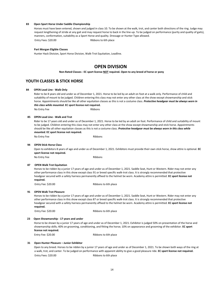#### **83 Open Sport Horse Under Saddle Championship**

Horses must have been entered, shown and judged in class 10. To be shown at the walk, trot, and canter both directions of the ring. Judge may request lengthening of stride at any gait and may request horse to back in the line-up. To be judged on performance (purity and quality of gaits), manners, conformation, suitability as a Sport Horse and quality. Dressage or Hunter Type allowed.

Entry Fees: \$20.00 Ribbons to 6th place

#### **Part Morgan Eligible Classes**

Hunter Hack Division, Sport Horse Division, Walk-Trot Equitation, Leadline.

# **OPEN DIVISION**

**Non-Rated Classes - EC sport license NOT required. Open to any breed of horse or pony** 

# **YOUTH CLASSES & STICK HORSE**

#### **84 OPEN Lead Line - Walk Only**

Rider to be 8 years old and under as of December 1, 2021. Horse to be led by an adult on foot at a walk only. Performance of child and suitability of mount to be judged. Children entering this class may not enter any other class at the show except showmanship and stick horse. Appointments should be like all other equitation classes as this is not a costume class. *Protective headgear must be always worn in this class while mounted.* **EC sport license not required.** 

No Entry Fee Ribbons

#### **85 OPEN Lead Line - Walk and Trot**

Rider to be 17 years old and under as of December 1, 2021. Horse to be led by an adult on foot. Performance of child and suitability of mount to be judged. Children entering this class may not enter any other class at the show except showmanship and stick horse. Appointments should be like all other equitation classes as this is not a costume class. *Protective headgear must be always worn in this class while mounted.* **EC sport license not required.** 

No Entry Fee Ribbons

#### **94 OPEN Stick Horse Class**

Open to exhibitors 8 years of age and under as of December 1, 2021. Exhibitors must provide their own stick horse, show attire is optional. **EC sport license not required.** 

No Entry Fee Ribbons

#### **87 OPEN Walk Trot Equitation**

Horses to be ridden by a junior 17 years of age and under as of December 1, 2021. Saddle Seat, Hunt or Western. Rider may not enter any other performance class in this show except class 91 or breed specific walk-trot class. It is strongly recommended that protective headgear secured with a safety harness permanently affixed to the helmet be worn. Academy attire is permitted. **EC sport license not required.**

Entry Fee: \$20.00 Ribbons to 6th place

#### **91 OPEN Walk Trot Pleasure**

Horses to be ridden by a junior 17 years of age and under as of December 1, 2021. Saddle Seat, Hunt or Western. Rider may not enter any other performance class in this show except class 87 or breed specific walk-trot class. It is strongly recommended that protective headgear secured with a safety harness permanently affixed to the helmet be worn. Academy attire is permitted. **EC sport license not required.**

Entry Fee: \$20.00 Ribbons to 6th place

#### **23 Open Showmanship - 17 years and under**

Horse to be shown by a junior 17 years of age and under as of December 1, 2021. Exhibitor is judged 50% on presentation of the horse and showmanship skills; 40% on grooming, conditioning, and fitting the horse; 10% on appearance and grooming of the exhibitor. **EC sport license not required.**

Entry Fee: \$20.00 Ribbons to 6th place

#### **31 Open Hunter Pleasure – Junior Exhibitor**

Open to any breed. Horses to be ridden by a junior 17 years of age and under as of December 1, 2021. To be shown both ways of the ring at a walk, trot, and canter. To be judged on performance with apparent ability to give a good pleasure ride. **EC sport license not required.** Entry Fees: \$20.00 Ribbons to 6th place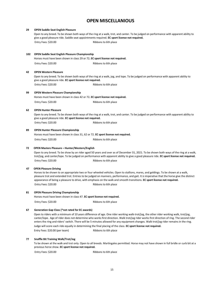# **OPEN MISCELLANIOUS**

#### **29 OPEN Saddle Seat English Pleasure**

Open to any breed. To be shown both ways of the ring at a walk, trot, and canter. To be judged on performance with apparent ability to give a good pleasure ride. Saddle seat appointments required. **EC sport license not required.** Entry Fees: \$20.00 Ribbons to 6th place

#### **102 OPEN Saddle Seat English Pleasure Championship**

Horses must have been shown in class 29 or 72**. EC sport license not required.** Entry Fees: \$20.00 Ribbons to 6th place

#### **42 OPEN Western Pleasure**

Open to any breed. To be shown both ways of the ring at a walk, jog, and lope. To be judged on performance with apparent ability to give a good pleasure ride. **EC sport license not required.** Entry Fees: \$20.00 Ribbons to 6th place

#### **99 OPEN Western Pleasure Championship**

Horses must have been shown in class 42 or 72**. EC sport license not required.** Entry Fees: \$20.00 Ribbons to 6th place

#### **62 OPEN Hunter Pleasure**

Open to any breed. To be shown both ways of the ring at a walk, trot, and canter. To be judged on performance with apparent ability to give a good pleasure ride. **EC sport license not required.** Entry Fees: \$20.00 Ribbons to 6th place

#### **89 OPEN Hunter Pleasure Championship**

Horses must have been shown in class 31, 62 or 72. **EC sport license not required.**

Entry Fees: \$20.00 Ribbons to 6th place

#### **72 OPEN Masters Pleasure – Hunter/Western/English**

Open to any breed. To be show by an rider aged 50 years and over as of December 31, 2021. To be shown both ways of the ring at a walk, trot/jog, and canter/lope. To be judged on performance with apparent ability to give a good pleasure ride. **EC sport license not required.** Entry Fees: \$20.00 Ribbons to 6th place

#### **47 OPEN Pleasure Driving**

Horses to be shown to an appropriate two or four wheeled vehicles. Open to stallions, mares, and geldings. To be shown at a walk, pleasure trot and extended trot. Entries to be judged on manners, performance, and gait. It is imperative that the horse give the distinct appearance of being a pleasure to drive, with emphasis on the walk and smooth transitions. **EC sport license not required.** Entry Fees: \$20.00 Ribbons to 6th place

#### **81 OPEN Pleasure Driving Championship**

Horses must have been shown in class 47. **EC sport license not required.**

Entry Fees: \$20.00 Ribbons to 6th place

#### **67 Generation Gap Class (\*not rated for EC awards)**

Open to riders with a minimum of 10 years difference of age. One rider working walk-trot/jog, the other rider working walk, trot/jog, canter/lope. Age of rider does not determine who works first direction. Walk trot/jog rider works first direction of ring. The second rider enters the ring and riders' switch. There will be 5 minutes allowed for any equipment changes. Walk trot/jog rider remains in the ring. Judge will score each ride equally in determining the final placing of the class. **EC sport license not required.**  Entry Fees: \$20.00 (per team) Ribbons to 6th place

#### **77 Snaffle Bit Training Walk/Trot/Jog**

To be shown at the walk and trot only. Open to all breeds. Martingales permitted. Horse may not have shown in full bridle or curb bit at a previous horse show. **EC sport license not required.**

Entry Fees: \$20.00 Ribbons to 6th place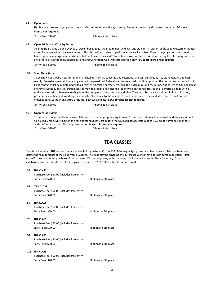#### **24 Open Halter**

This is a line class and is judged on the horse's conformation and way of going. Proper attire for the discipline is required. **EC sport license not required.**

Entry Fees: \$20.00 Ribbons to 6th place

### **46 Open Adult Walk/Trot Equitation**

Open to riders aged 18 and over as of December 1, 2021. Open to mares, geldings, and stallions, in either saddle seat, western, or hunter attire. This class will not have e a pattern. This class will ask riders to perform at the walk and trot. Class to be judged on rider's seat, hands, general management, and control of the horse. Horses NOT to be tested over obstacles. Adults entering this class may not enter any other class at the show except In Hand and Generation Gap (walk/trot portion only). **EC sport license not required.**

Entry Fees: \$20.00 Ribbons to 6th place

#### **55 Open Show Hack**

To be shown at a walk, trot, canter and hand gallop; normal, collected and extended gaits will be called for; to stand quietly and back readily. Excessive speed at the hand gallop will be penalized. Rider sits at the collected trot. Rider posts at the normal and extended trot. Light contact must be maintained with all reins at all gaits. For safety reasons, the Judge may limit the number of horses to hand gallop at one time. At the Judge's discretion, horses may be asked to halt and rein-back while on the rail. Horses shall perform all gaits with a noticeable transition between each gait, under complete control and easily ridden. They must be balanced, show vitality, animation, presence, clean fine limbs and supreme quality. Obedience to the rider is of prime importance. Tack and attire and restrict entries to either Saddle Seat tack and attire or Hunter Seat tack and attire.**EC sport license not required.**

Entry Fees: \$20.00 Ribbons to 6th place

#### **95 Open Parade Stake**

To be shown under saddle with silver, Mexican or other appropriate equipment. To be shown at an animated walk and parade gait; not to exceed 5 mph. Must halt on the rail and stand quietly from both the walk and parade gait. Judged 75% on performance, manners. and conformation and 25% on appointments. **EC sport license not required.** Entry Fees: \$20.00 Ribbons to 6th place

# **TBA CLASSES**

The show has added TBA classes that are available for purchase. Cost is \$50.00 for a qualifying class or a championship. The purchaser can define the requirements of the class within EC rules. The class may be anything the purchaser wishes that does not contain obstacles. First come/first served on the purchase of these classes. Written requests, with payment, should be mailed to the Show Secretary. Other exhibitors can enter the classes at the regular entry fee of \$20.00 after it has been purchased.

#### **35 TBA CLASS**

|     | Purchase Fee: \$50.00 (includes free entry)<br>Entry Fees: \$20.00                     | Ribbons to 6th place |
|-----|----------------------------------------------------------------------------------------|----------------------|
| 51  | <b>TBA CLASS</b><br>Purchase Fee: \$50.00 (includes free entry)<br>Entry Fees: \$20.00 | Ribbons to 6th place |
| 58  | <b>TBA CLASS</b><br>Purchase Fee: \$50.00 (includes free entry)<br>Entry Fees: \$20.00 | Ribbons to 6th place |
| 78  | <b>TBA CLASS</b><br>Purchase Fee: \$50.00 (includes free entry)<br>Entry Fees: \$20.00 | Ribbons to 6th place |
| 92  | <b>TRA CLASS</b><br>Purchase Fee: \$50.00 (includes free entry)<br>Entry Fees: \$20.00 | Ribbons to 6th place |
| 105 | <b>TBA CLASS</b><br>Purchase Fee: \$50.00 (includes free entry)<br>Entry Fees: \$20.00 | Ribbons to 6th place |
|     |                                                                                        |                      |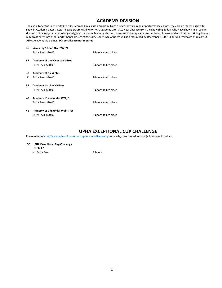# **ACADEMY DIVISION**

The exhibitor entries are limited to riders enrolled in a lesson program. Once a rider shows in regular performance classes, they are no longer eligible to show in Academy classes. Returning riders are eligible for WTC academy after a 10-year absence from the show ring. Riders who have shown in a regular division or in a suit/coat are no longer eligible to show in Academy classes. Horses must be regularly used as lesson horses, and not in show training. Horses may cross enter into other performance classes at the same show. Age of riders will be determined by December 1, 2021. For full breakdown of rules visit ASHA Academy Guidelines. **EC sport license not required.**

| 36 | Academy 18 and Over W/T/C            |                      |
|----|--------------------------------------|----------------------|
|    | Entry Fees: \$20.00                  | Ribbons to 6th place |
| 37 | <b>Academy 18 and Over Walk-Trot</b> |                      |
|    | Entry Fees: \$20.00                  | Ribbons to 6th place |
| 38 | Academy 14-17 W/T/C                  |                      |
| E  | Entry Fees: \$20.00                  | Ribbons to 6th place |
| 39 | Academy 14-17 Walk-Trot              |                      |
|    | Entry Fees: \$20.00                  | Ribbons to 6th place |
| 40 | Academy 13 and under W/T/C           |                      |
|    | Entry Fees: \$20.00                  | Ribbons to 6th place |
| 41 | Academy 13 and under Walk-Trot       |                      |
|    | Entry Fees: \$20.00                  | Ribbons to 6th place |

# **UPHA EXCEPTIONAL CUP CHALLENGE**

Please refer to<https://www.uphaonline.com/exceptional-challenge-cup> for levels, class procedures and judging specifications.

**56 UPHA Exceptional Cup Challenge Levels 1-5**  No Entry Fee Ribbons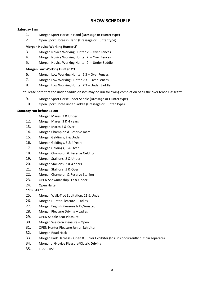# **SHOW SCHEDUELE**

# **Saturday 9am**

- 1. Morgan Sport Horse in Hand (Dressage or Hunter type)
- 2. Open Sport Horse in Hand (Dressage or Hunter type)

# **Morgan Novice Working Hunter 2'**

- 3. Morgan Novice Working Hunter 2' Over Fences
- 4. Morgan Novice Working Hunter 2' Over Fences
- 5. Morgan Novice Working Hunter 2' Under Saddle

# **Morgan Low Working Hunter 2'3**

- 6. Morgan Low Working Hunter 2'3 Over Fences
- 7. Morgan Low Working Hunter 2'3 Over Fences
- 8. Morgan Low Working Hunter 2'3 Under Saddle

\*\*Please note that the under-saddle classes may be run following completion of all the over fence classes\*\*

- 9. Morgan Sport Horse under Saddle (Dressage or Hunter type)
- 10. Open Sport Horse under Saddle (Dressage or Hunter Type)

# **Saturday Not before 11 am**

- 11. Morgan Mares, 2 & Under
- 12. Morgan Mares, 3 & 4 years
- 13. Morgan Mares 5 & Over
- 14. Morgan Champion & Reserve mare
- 15. Morgan Geldings, 2 & Under
- 16. Morgan Geldings, 3 & 4 Years
- 17. Morgan Geldings, 5 & Over
- 18. Morgan Champion & Reserve Gelding
- 19. Morgan Stallions, 2 & Under
- 20. Morgan Stallions, 3 & 4 Years
- 21. Morgan Stallions, 5 & Over
- 22. Morgan Champion & Reserve Stallion
- 23. OPEN Showmanship, 17 & Under
- 24. Open Halter

# **\*\*BREAK\*\***

- 25. Morgan Walk-Trot Equitation, 11 & Under
- 26. Morgan Hunter Pleasure Ladies
- 27. Morgan English Pleasure Jr Ex/Amateur
- 28. Morgan Pleasure Driving Ladies
- 29. OPEN Saddle Seat Pleasure
- 30. Morgan Western Pleasure Open
- 31. OPEN Hunter Pleasure Junior Exhibitor
- 32. Morgan Road Hack
- 33. Morgan Park Harness Open & Junior Exhibitor (to run concurrently but pin separate)
- 34. Morgan Jr/Novice Pleasure/Classic **Driving**
- 35. TBA CLASS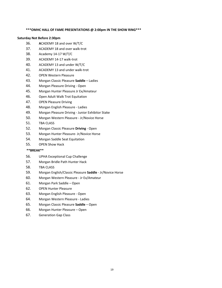### **\*\*\*OMHC HALL OF FAME PRESENTATIONS @ 2:00pm IN THE SHOW RING\*\*\***

### **Saturday Not Before 2:30pm**

- 36. **A**CADEMY 18 and over W/T/C
- 37. ACADEMY 18 and over walk-trot
- 38. Academy 14-17 W/T/C
- 39. ACADEMY 14-17 walk-trot
- 40. ACADEMY 13 and under W/T/C
- 41. ACADEMY 13 and under walk-trot
- 42. OPEN Western Pleasure
- 43. Morgan Classic Pleasure **Saddle** Ladies
- 44. Morgan Pleasure Driving Open
- 45. Morgan Hunter Pleasure Jr Ex/Amateur
- 46. Open Adult Walk Trot Equitation
- 47. OPEN Pleasure Driving
- 48. Morgan English Pleasure Ladies
- 49. Morgan Pleasure Driving Junior Exhibitor Stake
- 50. Morgan Western Pleasure Jr/Novice Horse
- 51. TBA CLASS
- 52. Morgan Classic Pleasure **Driving** Open
- 53. Morgan Hunter Pleasure- Jr/Novice Horse
- 54. Morgan Saddle Seat Equitation
- 55. OPEN Show Hack

# **\*\*BREAK\*\***

- 56. UPHA Exceptional Cup Challenge
- 57. Morgan Bridle Path Hunter Hack
- 58. TBA CLASS
- 59. Morgan English/Classic Pleasure **Saddle** Jr/Novice Horse
- 60. Morgan Western Pleasure Jr Ex/Amateur
- 61. Morgan Park Saddle Open
- 62. OPEN Hunter Pleasure
- 63. Morgan English Pleasure Open
- 64. Morgan Western Pleasure Ladies
- 65. Morgan Classic Pleasure **Saddle** Open
- 66. Morgan Hunter Pleasure Open
- 67. Generation Gap Class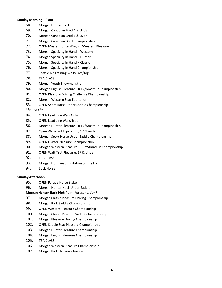## **Sunday Morning – 9 am**

- 68. Morgan Hunter Hack
- 69. Morgan Canadian Bred 4 & Under
- 70. Morgan Canadian Bred 5 & Over
- 71. Morgan Canadian Bred Championship
- 72. OPEN Master Hunter/English/Western Pleasure
- 73. Morgan Specialty In Hand Western
- 74. Morgan Specialty In Hand Hunter
- 75. Morgan Specialty In Hand Classic
- 76. Morgan Specialty In Hand Championship
- 77. Snaffle Bit Training Walk/Trot/Jog
- 78. TBA CLASS
- 79. Morgan Youth Showmanship
- 80. Morgan English Pleasure Jr Ex/Amateur Championship
- 81. OPEN Pleasure Driving Challenge Championship
- 82. Morgan Western Seat Equitation
- 83. OPEN Sport Horse Under Saddle Championship

# **\*\*BREAK\*\***

- 84. OPEN Lead Line Walk Only
- 85. OPEN Lead Line Walk/Trot
- 86. Morgan Hunter Pleasure Jr Ex/Amateur Championship
- 87. Open Walk-Trot Equitation, 17 & under
- 88. Morgan Sport Horse Under Saddle Championship
- 89. OPEN Hunter Pleasure Championship
- 90. Morgan Western Pleasure Jr Ex/Amateur Championship
- 91. OPEN Walk Trot Pleasure, 17 & Under
- 92. TBA CLASS
- 93. Morgan Hunt Seat Equitation on the Flat
- 94. Stick Horse

# **Sunday Afternoon**

- 95. OPEN Parade Horse Stake
- 96. Morgan Hunter Hack Under Saddle

# **Morgan Hunter Hack High Point \*presentation\***

- 97. Morgan Classic Pleasure **Driving** Championship
- 98. Morgan Park Saddle Championship
- 99. OPEN Western Pleasure Championship
- 100. Morgan Classic Pleasure **Saddle** Championship
- 101. Morgan Pleasure Driving Championship
- 102. OPEN Saddle Seat Pleasure Championship
- 103. Morgan Hunter Pleasure Championship
- 104. Morgan English Pleasure Championship
- 105. TBA CLASS
- 106. Morgan Western Pleasure Championship
- 107. Morgan Park Harness Championship